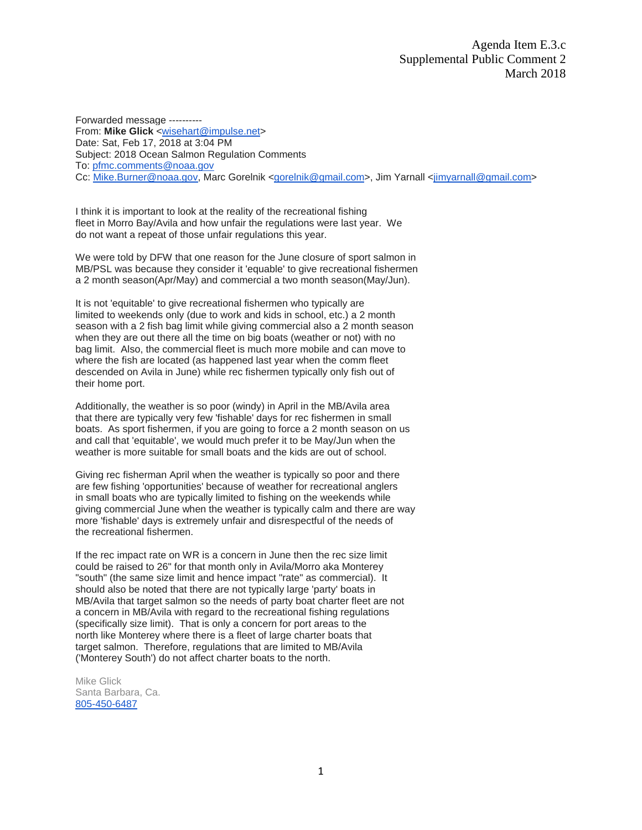Forwarded message ---------- From: **Mike Glick** [<wisehart@impulse.net>](mailto:wisehart@impulse.net) Date: Sat, Feb 17, 2018 at 3:04 PM Subject: 2018 Ocean Salmon Regulation Comments To: [pfmc.comments@noaa.gov](mailto:pfmc.comments@noaa.gov) Cc: [Mike.Burner@noaa.gov,](mailto:Mike.Burner@noaa.gov) Marc Gorelnik [<gorelnik@gmail.com>](mailto:gorelnik@gmail.com), Jim Yarnall [<jimyarnall@gmail.com>](mailto:jimyarnall@gmail.com)

I think it is important to look at the reality of the recreational fishing fleet in Morro Bay/Avila and how unfair the regulations were last year. We do not want a repeat of those unfair regulations this year.

We were told by DFW that one reason for the June closure of sport salmon in MB/PSL was because they consider it 'equable' to give recreational fishermen a 2 month season(Apr/May) and commercial a two month season(May/Jun).

It is not 'equitable' to give recreational fishermen who typically are limited to weekends only (due to work and kids in school, etc.) a 2 month season with a 2 fish bag limit while giving commercial also a 2 month season when they are out there all the time on big boats (weather or not) with no bag limit. Also, the commercial fleet is much more mobile and can move to where the fish are located (as happened last year when the comm fleet descended on Avila in June) while rec fishermen typically only fish out of their home port.

Additionally, the weather is so poor (windy) in April in the MB/Avila area that there are typically very few 'fishable' days for rec fishermen in small boats. As sport fishermen, if you are going to force a 2 month season on us and call that 'equitable', we would much prefer it to be May/Jun when the weather is more suitable for small boats and the kids are out of school.

Giving rec fisherman April when the weather is typically so poor and there are few fishing 'opportunities' because of weather for recreational anglers in small boats who are typically limited to fishing on the weekends while giving commercial June when the weather is typically calm and there are way more 'fishable' days is extremely unfair and disrespectful of the needs of the recreational fishermen.

If the rec impact rate on WR is a concern in June then the rec size limit could be raised to 26" for that month only in Avila/Morro aka Monterey "south" (the same size limit and hence impact "rate" as commercial). It should also be noted that there are not typically large 'party' boats in MB/Avila that target salmon so the needs of party boat charter fleet are not a concern in MB/Avila with regard to the recreational fishing regulations (specifically size limit). That is only a concern for port areas to the north like Monterey where there is a fleet of large charter boats that target salmon. Therefore, regulations that are limited to MB/Avila ('Monterey South') do not affect charter boats to the north.

Mike Glick Santa Barbara, Ca. [805-450-6487](tel:805-450-6487)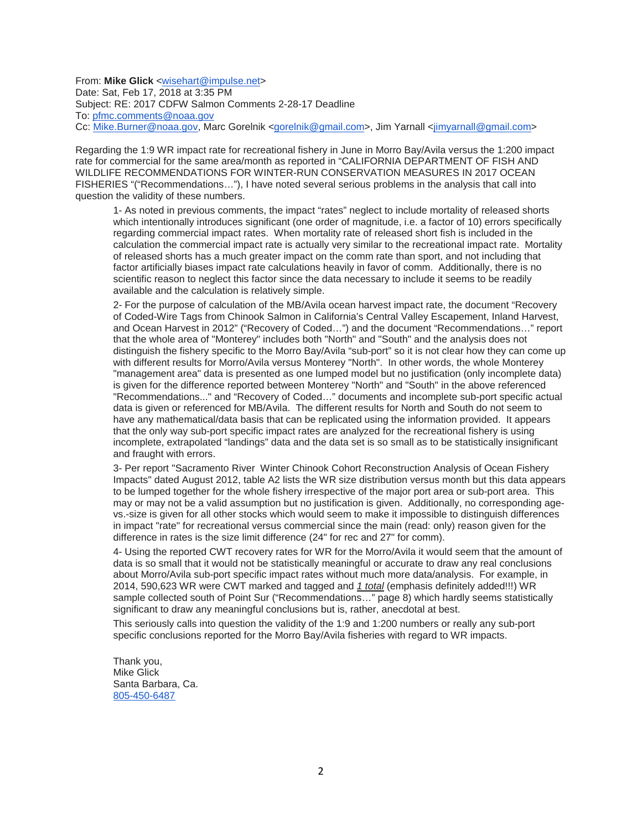From: Mike Glick [<wisehart@impulse.net>](mailto:wisehart@impulse.net) Date: Sat, Feb 17, 2018 at 3:35 PM Subject: RE: 2017 CDFW Salmon Comments 2-28-17 Deadline To: [pfmc.comments@noaa.gov](mailto:pfmc.comments@noaa.gov) Cc: [Mike.Burner@noaa.gov,](mailto:Mike.Burner@noaa.gov) Marc Gorelnik [<gorelnik@gmail.com>](mailto:gorelnik@gmail.com), Jim Yarnall [<jimyarnall@gmail.com>](mailto:jimyarnall@gmail.com)

Regarding the 1:9 WR impact rate for recreational fishery in June in Morro Bay/Avila versus the 1:200 impact rate for commercial for the same area/month as reported in "CALIFORNIA DEPARTMENT OF FISH AND WILDLIFE RECOMMENDATIONS FOR WINTER-RUN CONSERVATION MEASURES IN 2017 OCEAN FISHERIES "("Recommendations…"), I have noted several serious problems in the analysis that call into question the validity of these numbers.

1- As noted in previous comments, the impact "rates" neglect to include mortality of released shorts which intentionally introduces significant (one order of magnitude, i.e. a factor of 10) errors specifically regarding commercial impact rates. When mortality rate of released short fish is included in the calculation the commercial impact rate is actually very similar to the recreational impact rate. Mortality of released shorts has a much greater impact on the comm rate than sport, and not including that factor artificially biases impact rate calculations heavily in favor of comm. Additionally, there is no scientific reason to neglect this factor since the data necessary to include it seems to be readily available and the calculation is relatively simple.

2- For the purpose of calculation of the MB/Avila ocean harvest impact rate, the document "Recovery of Coded-Wire Tags from Chinook Salmon in California's Central Valley Escapement, Inland Harvest, and Ocean Harvest in 2012" ("Recovery of Coded…") and the document "Recommendations…" report that the whole area of "Monterey" includes both "North" and "South" and the analysis does not distinguish the fishery specific to the Morro Bay/Avila "sub-port" so it is not clear how they can come up with different results for Morro/Avila versus Monterey "North". In other words, the whole Monterey "management area" data is presented as one lumped model but no justification (only incomplete data) is given for the difference reported between Monterey "North" and "South" in the above referenced "Recommendations..." and "Recovery of Coded…" documents and incomplete sub-port specific actual data is given or referenced for MB/Avila. The different results for North and South do not seem to have any mathematical/data basis that can be replicated using the information provided. It appears that the only way sub-port specific impact rates are analyzed for the recreational fishery is using incomplete, extrapolated "landings" data and the data set is so small as to be statistically insignificant and fraught with errors.

3- Per report "Sacramento River Winter Chinook Cohort Reconstruction Analysis of Ocean Fishery Impacts" dated August 2012, table A2 lists the WR size distribution versus month but this data appears to be lumped together for the whole fishery irrespective of the major port area or sub-port area. This may or may not be a valid assumption but no justification is given. Additionally, no corresponding agevs.-size is given for all other stocks which would seem to make it impossible to distinguish differences in impact "rate" for recreational versus commercial since the main (read: only) reason given for the difference in rates is the size limit difference (24" for rec and 27" for comm).

4- Using the reported CWT recovery rates for WR for the Morro/Avila it would seem that the amount of data is so small that it would not be statistically meaningful or accurate to draw any real conclusions about Morro/Avila sub-port specific impact rates without much more data/analysis. For example, in 2014, 590,623 WR were CWT marked and tagged and *1 total* (emphasis definitely added!!!) WR sample collected south of Point Sur ("Recommendations…" page 8) which hardly seems statistically significant to draw any meaningful conclusions but is, rather, anecdotal at best.

This seriously calls into question the validity of the 1:9 and 1:200 numbers or really any sub-port specific conclusions reported for the Morro Bay/Avila fisheries with regard to WR impacts.

Thank you, Mike Glick Santa Barbara, Ca. [805-450-6487](tel:(805)%20450-6487)